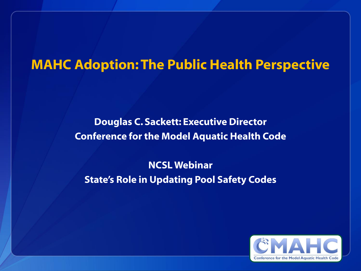## **MAHC Adoption: The Public Health Perspective**

#### **Douglas C. Sackett: Executive Director Conference for the Model Aquatic Health Code**

#### **NCSL Webinar State's Role in Updating Pool Safety Codes**

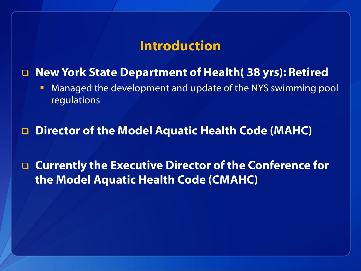### **Introduction**

#### **New York State Department of Health( 38 yrs): Retired**

**• Managed the development and update of the NYS swimming pool** regulations

**Director of the Model Aquatic Health Code (MAHC)**

 **Currently the Executive Director of the Conference for the Model Aquatic Health Code (CMAHC)**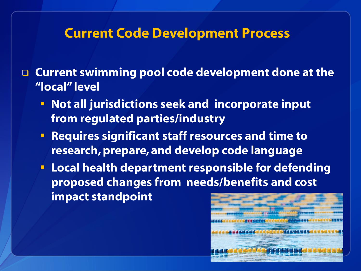## **Current Code Development Process**

 **Current swimming pool code development done at the "local" level**

- **Not all jurisdictions seek and incorporate input from regulated parties/industry**
- **Requires significant staff resources and time to research, prepare, and develop code language**
- **Local health department responsible for defending proposed changes from needs/benefits and cost impact standpoint**

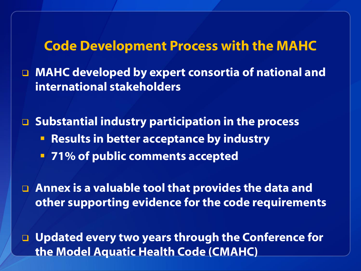**Code Development Process with the MAHC**

 **MAHC developed by expert consortia of national and international stakeholders** 

 **Substantial industry participation in the process Results in better acceptance by industry 71% of public comments accepted**

 **Annex is a valuable tool that provides the data and other supporting evidence for the code requirements**

 **Updated every two years through the Conference for the Model Aquatic Health Code (CMAHC)**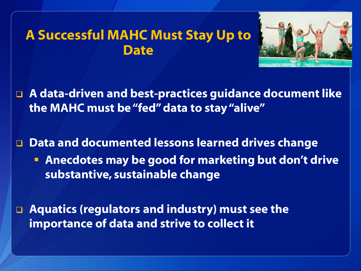## **A Successful MAHC Must Stay Up to Date**



 **A data-driven and best-practices guidance document like the MAHC must be "fed" data to stay "alive"** 

 **Data and documented lessons learned drives change Anecdotes may be good for marketing but don't drive substantive, sustainable change**

 **Aquatics (regulators and industry) must see the importance of data and strive to collect it**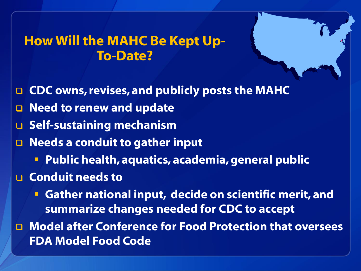# **How Will the MAHC Be Kept Up-To-Date?**

- **CDC owns, revises, and publicly posts the MAHC**
- **Need to renew and update**
- **G** Self-sustaining mechanism
- **Needs a conduit to gather input**
	- **Public health, aquatics, academia, general public**
- **Conduit needs to** 
	- **Gather national input, decide on scientific merit, and summarize changes needed for CDC to accept**
- **Model after Conference for Food Protection that oversees FDA Model Food Code**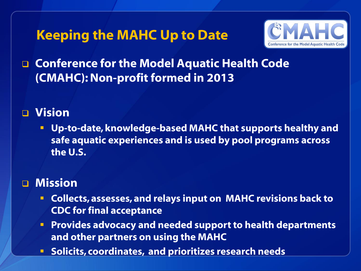# **Keeping the MAHC Up to Date**



## **Conference for the Model Aquatic Health Code (CMAHC): Non-profit formed in 2013**

#### **Vision**

 **Up-to-date, knowledge-based MAHC that supports healthy and safe aquatic experiences and is used by pool programs across the U.S.** 

#### **Mission**

- **Collects, assesses, and relays input on MAHC revisions back to CDC for final acceptance**
- **Provides advocacy and needed support to health departments and other partners on using the MAHC**
- **E** Solicits, coordinates, and prioritizes research needs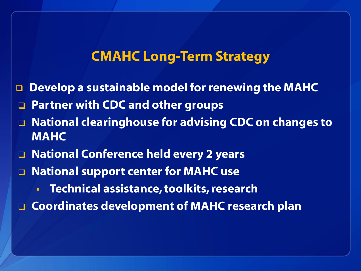## **CMAHC Long-Term Strategy**

- **Develop a sustainable model for renewing the MAHC**
- **Partner with CDC and other groups**
- **National clearinghouse for advising CDC on changes to MAHC**
- **National Conference held every 2 years**
- **National support center for MAHC use**
	- **Technical assistance, toolkits, research**
- **Coordinates development of MAHC research plan**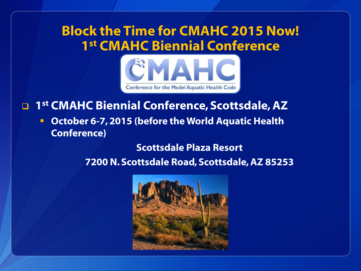# **Block the Time for CMAHC 2015 Now! 1 st CMAHC Biennial Conference**



#### **1 st CMAHC Biennial Conference, Scottsdale, AZ**

 **October 6-7, 2015 (before the World Aquatic Health Conference)**

**Scottsdale Plaza Resort** 

**7200 N. Scottsdale Road, Scottsdale, AZ 85253**

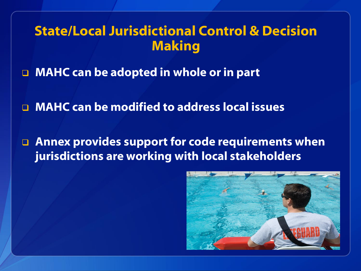# **State/Local Jurisdictional Control & Decision Making**

- **MAHC can be adopted in whole or in part**
- **MAHC can be modified to address local issues**
- **Annex provides support for code requirements when jurisdictions are working with local stakeholders**

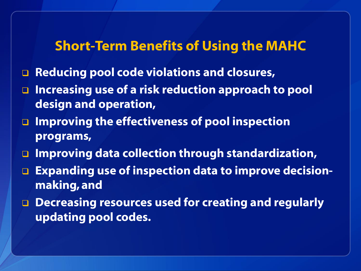### **Short-Term Benefits of Using the MAHC**

- **Reducing pool code violations and closures,**
- **Increasing use of a risk reduction approach to pool design and operation,**
- **Improving the effectiveness of pool inspection programs,**
- **Improving data collection through standardization,**
- **Expanding use of inspection data to improve decisionmaking, and**
- **Decreasing resources used for creating and regularly updating pool codes.**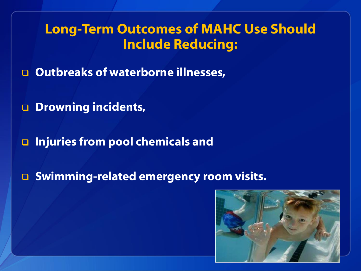# **Long-Term Outcomes of MAHC Use Should Include Reducing:**

**Outbreaks of waterborne illnesses,**

- **Drowning incidents,**
- **Injuries from pool chemicals and**
- **Swimming-related emergency room visits.**

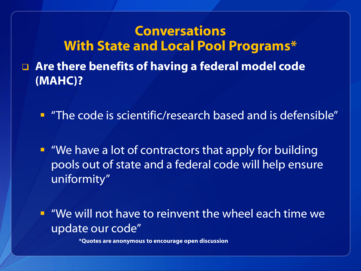**Conversations With State and Local Pool Programs\* Are there benefits of having a federal model code (MAHC)?** 

"The code is scientific/research based and is defensible"

**• "We have a lot of contractors that apply for building** pools out of state and a federal code will help ensure uniformity"

 "We will not have to reinvent the wheel each time we update our code"

**\*Quotes are anonymous to encourage open discussion**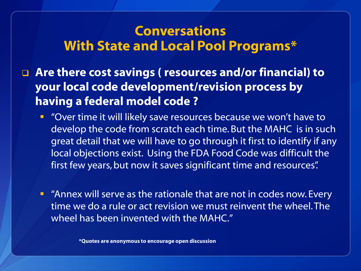## **Conversations With State and Local Pool Programs\***

 **Are there cost savings ( resources and/or financial) to your local code development/revision process by having a federal model code ?** 

- **•** "Over time it will likely save resources because we won't have to develop the code from scratch each time. But the MAHC is in such great detail that we will have to go through it first to identify if any local objections exist. Using the FDA Food Code was difficult the first few years, but now it saves significant time and resources".
- **EXT** "Annex will serve as the rationale that are not in codes now. Every time we do a rule or act revision we must reinvent the wheel. The wheel has been invented with the MAHC."

**\*Quotes are anonymous to encourage open discussion**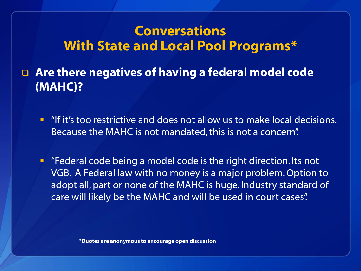# **Conversations With State and Local Pool Programs\***

 **Are there negatives of having a federal model code (MAHC)?** 

- **I** "If it's too restrictive and does not allow us to make local decisions. Because the MAHC is not mandated, this is not a concern".
- **F** "Federal code being a model code is the right direction. Its not VGB. A Federal law with no money is a major problem. Option to adopt all, part or none of the MAHC is huge. Industry standard of care will likely be the MAHC and will be used in court cases".

**\*Quotes are anonymous to encourage open discussion**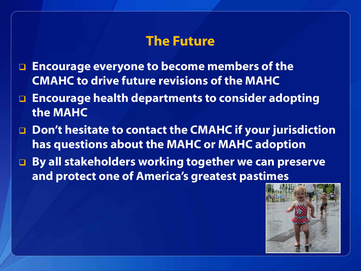## **The Future**

- **Encourage everyone to become members of the CMAHC to drive future revisions of the MAHC**
- **Encourage health departments to consider adopting the MAHC**
- □ Don't hesitate to contact the CMAHC if your jurisdiction **has questions about the MAHC or MAHC adoption**
- **By all stakeholders working together we can preserve and protect one of America's greatest pastimes**

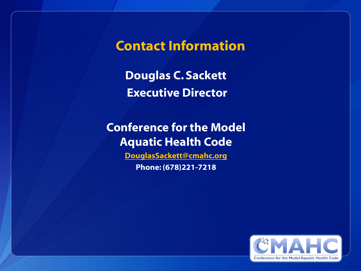**Contact Information**

**Douglas C. Sackett Executive Director**

### **Conference for the Model Aquatic Health Code**

**[DouglasSackett@cmahc.org](mailto:DouglasSackett@cmahc.org) Phone: (678)221-7218**